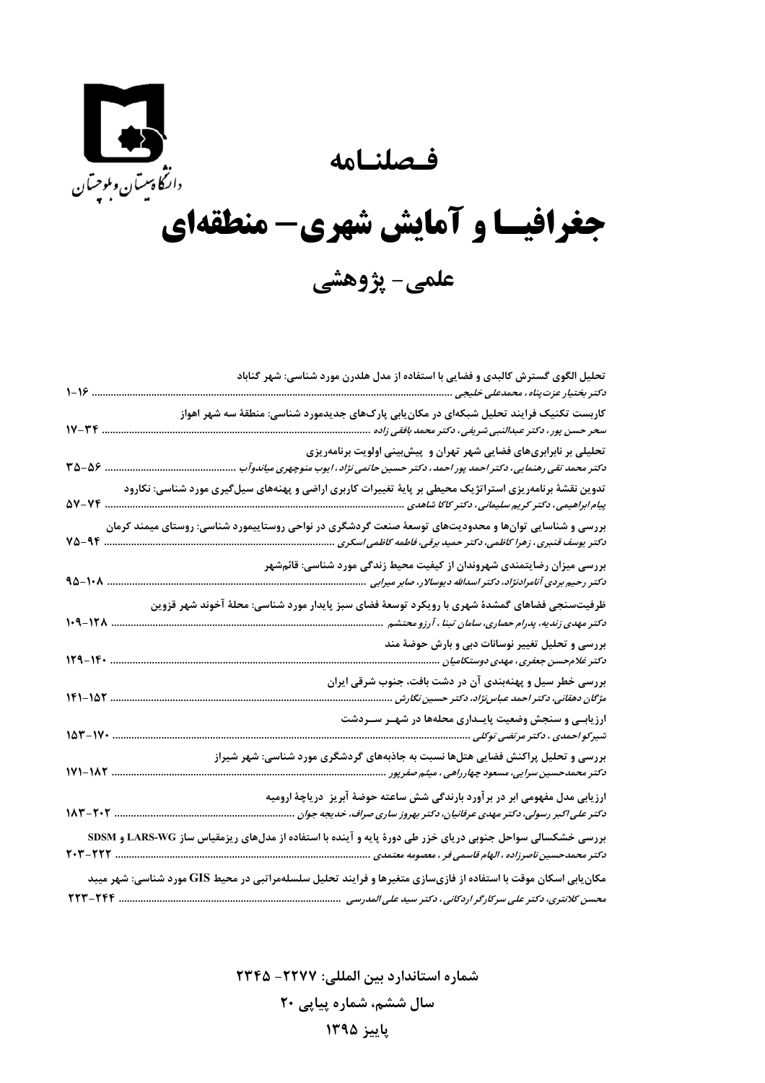فصلنامه



## جغرافیسا و آمایش شهری- منطقهای علمی- پژوهشی

| $1 - 19$              | تحلیل الگوی گسترش کالبدی و فضایی با استفاده از مدل هلدرن مورد شناسی: شهر گناباد                                                                                         |
|-----------------------|-------------------------------------------------------------------------------------------------------------------------------------------------------------------------|
| $1V - YY$             | کاربست تکنیک فرایند تحلیل شبکهای در مکان ِابی پارکھای جدیدمورد شناسی: منطقهٔ سه شهر اهواز<br>سحر حسن پور ، دکتر عبدالنبی شریفی ، دکتر محمد بافقی زاده                   |
| $r_{\Delta-\Delta}$ ۶ | تحلیلی بر نابرابریهای فضایی شهر تهران و پیشبینی اولویت برنامهریزی<br>دکتر محمد تقی رهنمایی، دکتر احمد پور احمد، دکتر حسین حاتمی نژاد ، ایوب منوچهری میاندوآب            |
| 57-74                 | تدوین نقشهٔ برنامهریزی استراتژیک محیطی بر پایهٔ تغییرات کاربری اراضی و پهنههای سیلگیری مورد شناسی: نکارود<br>پیام ابراهیمی، دکتر کریم سلیمانی، دکتر کاکا شاهدی .        |
|                       | بررسی و شناسایی توانها و محدودیتهای توسعهٔ صنعت گردشگری در نواحی روستاییمورد شناسی: روستای میمند کرمان<br>دكتر يوسف قنبرى، زهرا كاظمى، دكتر حميد برقى، فاطمه كاظمى سكرى |
| $40 - 1.4$ .          | بررسی میزان رضایتمندی شهروندان از کیفیت محیط زندگی مورد شناسی: قائمشهر<br>د کتر رحیم بردی آنامرادنژاد، دکتر اسدالله دیوسالار، صابر میرابی                               |
| $1 - 9 - 171$         | ظرفیتسنجی فضاهای گمشدهٔ شهری با رویکرد توسعهٔ فضای سبز پایدار مورد شناسی: محلهٔ آخوند شهر قزوین<br>دکتر مهدی زندیه، پدرام حصاری، سامان تبنا ، آرزو محتشم                |
|                       | بررسی و تحلیل تغییر نوسانات دبی و بارش حوضهٔ مند<br>دکتر غلام حسن جعفری، مهدی دوستکامیان                                                                                |
| 141-107               | بررسی خطر سیل و پهنهبندی آن در دشت بافت، جنوب شرقی ایران<br>مژگان دهقانی، دکتر احمد عباس نژاد، دکتر حسین نگارش                                                          |
| $107 - 11.$           | ارزیابـی و سنجش وضعیت پایـداری محلهها در شهـر سـردشت<br>شیرکو احمدی ، دکتر مرتضی توکلی                                                                                  |
| 171-147               | بررسی و تحلیل پراکنش فضایی هتلها نسبت به جاذبههای گردشگری مورد شناسی: شهر شیراز                                                                                         |
| 117-7-7               | ارزیابی مدل مفهومی ابر در برآورد بارندگی شش ساعته حوضهٔ آبریز ۖ دریاچهٔ ارومیه<br>دکتر علی اکبر رسولی، دکتر مهدی عرفانیان، دکتر بهروز ساری صراف، خدیجه جوان             |
| 2021-222 r            | بررسی خشکسالی سواحل جنوبی دریای خزر طی دورهٔ پایه و آینده با استفاده از مدلهای ریزمقیاس ساز LARS-WG و SDSM<br>دکتر محمدحسین ناصرزاده ، الهام قاسمی فر ، معصومه معتمدی   |
| TTT-TFF               | مکان یابی اسکان موقت با استفاده از فازیسازی متغیرها و فرایند تحلیل سلسلهمراتبی در محیط GIS مورد شناسی: شهر میبد                                                         |
|                       | محسن کلانتری، دکتر علی سرکارگر اردکانی، دکتر سید علی المدرسی  …                                                                                                         |

شماره استاندارد بين المللي: ٢٢٧٧- ٢٣۴۵ سال ششم، شماره پیاپی ۲۰ ياييز ١٣٩٥